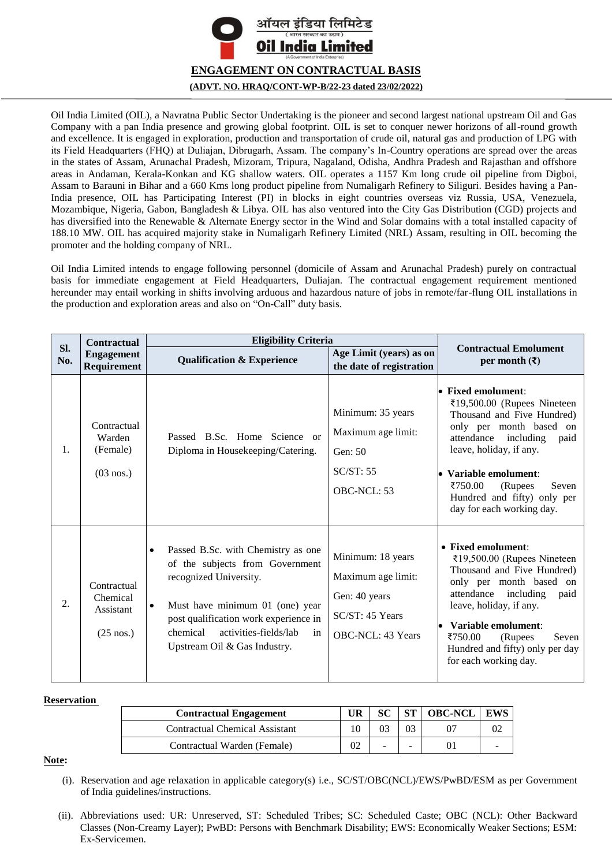

Oil India Limited (OIL), a Navratna Public Sector Undertaking is the pioneer and second largest national upstream Oil and Gas Company with a pan India presence and growing global footprint. OIL is set to conquer newer horizons of all-round growth and excellence. It is engaged in exploration, production and transportation of crude oil, natural gas and production of LPG with its Field Headquarters (FHQ) at Duliajan, Dibrugarh, Assam. The company's In-Country operations are spread over the areas in the states of Assam, Arunachal Pradesh, Mizoram, Tripura, Nagaland, Odisha, Andhra Pradesh and Rajasthan and offshore areas in Andaman, Kerala-Konkan and KG shallow waters. OIL operates a 1157 Km long crude oil pipeline from Digboi, Assam to Barauni in Bihar and a 660 Kms long product pipeline from Numaligarh Refinery to Siliguri. Besides having a Pan-India presence, OIL has Participating Interest (PI) in blocks in eight countries overseas viz Russia, USA, Venezuela, Mozambique, Nigeria, Gabon, Bangladesh & Libya. OIL has also ventured into the City Gas Distribution (CGD) projects and has diversified into the Renewable & Alternate Energy sector in the Wind and Solar domains with a total installed capacity of 188.10 MW. OIL has acquired majority stake in Numaligarh Refinery Limited (NRL) Assam, resulting in OIL becoming the promoter and the holding company of NRL.

Oil India Limited intends to engage following personnel (domicile of Assam and Arunachal Pradesh) purely on contractual basis for immediate engagement at Field Headquarters, Duliajan. The contractual engagement requirement mentioned hereunder may entail working in shifts involving arduous and hazardous nature of jobs in remote/far-flung OIL installations in the production and exploration areas and also on "On-Call" duty basis.

|            | <b>Contractual</b>                                          | <b>Eligibility Criteria</b>                                                                                                                                                                                                                            |                                                                                                         |                                                                                                                                                                                                                                                                                              |  |
|------------|-------------------------------------------------------------|--------------------------------------------------------------------------------------------------------------------------------------------------------------------------------------------------------------------------------------------------------|---------------------------------------------------------------------------------------------------------|----------------------------------------------------------------------------------------------------------------------------------------------------------------------------------------------------------------------------------------------------------------------------------------------|--|
| Sl.<br>No. | <b>Engagement</b><br>Requirement                            | <b>Qualification &amp; Experience</b>                                                                                                                                                                                                                  | Age Limit (years) as on<br>the date of registration                                                     | <b>Contractual Emolument</b><br>per month $(\bar{\zeta})$                                                                                                                                                                                                                                    |  |
| 1.         | Contractual<br>Warden<br>(Female)<br>$(03 \text{ nos.})$    | Passed B.Sc. Home Science or<br>Diploma in Housekeeping/Catering.                                                                                                                                                                                      | Minimum: 35 years<br>Maximum age limit:<br>Gen: 50<br>SC/ST: 55<br>OBC-NCL: 53                          | <b>Fixed emolument:</b><br>₹19,500.00 (Rupees Nineteen<br>Thousand and Five Hundred)<br>only per month based on<br>attendance including<br>paid<br>leave, holiday, if any.<br>Variable emolument:<br>₹750.00<br>(Rupees<br>Seven<br>Hundred and fifty) only per<br>day for each working day. |  |
| 2.         | Contractual<br>Chemical<br>Assistant<br>$(25 \text{ nos.})$ | Passed B.Sc. with Chemistry as one<br>of the subjects from Government<br>recognized University.<br>Must have minimum 01 (one) year<br>post qualification work experience in<br>chemical<br>activities-fields/lab<br>in<br>Upstream Oil & Gas Industry. | Minimum: 18 years<br>Maximum age limit:<br>Gen: 40 years<br>SC/ST: 45 Years<br><b>OBC-NCL: 43 Years</b> | • Fixed emolument:<br>₹19,500.00 (Rupees Nineteen<br>Thousand and Five Hundred)<br>only per month based on<br>attendance including<br>paid<br>leave, holiday, if any.<br>Variable emolument:<br>₹750.00<br>(Rupees<br>Seven<br>Hundred and fifty) only per day<br>for each working day.      |  |

#### **Reservation**

| <b>Contractual Engagement</b>         | SС                       | <b>ST</b>                | <b>OBC-NCL EWS</b> |   |
|---------------------------------------|--------------------------|--------------------------|--------------------|---|
| <b>Contractual Chemical Assistant</b> |                          |                          |                    |   |
| Contractual Warden (Female)           | $\overline{\phantom{a}}$ | $\overline{\phantom{0}}$ |                    | - |

#### **Note:**

- (i). Reservation and age relaxation in applicable category(s) i.e., SC/ST/OBC(NCL)/EWS/PwBD/ESM as per Government of India guidelines/instructions.
- (ii). Abbreviations used: UR: Unreserved, ST: Scheduled Tribes; SC: Scheduled Caste; OBC (NCL): Other Backward Classes (Non-Creamy Layer); PwBD: Persons with Benchmark Disability; EWS: Economically Weaker Sections; ESM: Ex-Servicemen.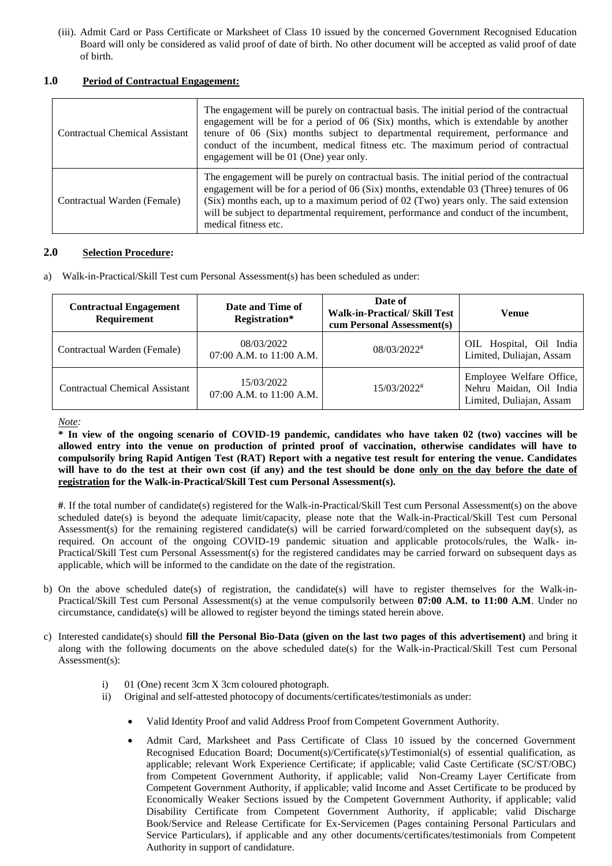(iii). Admit Card or Pass Certificate or Marksheet of Class 10 issued by the concerned Government Recognised Education Board will only be considered as valid proof of date of birth. No other document will be accepted as valid proof of date of birth.

# **1.0 Period of Contractual Engagement:**

| <b>Contractual Chemical Assistant</b> | The engagement will be purely on contractual basis. The initial period of the contractual<br>engagement will be for a period of 06 (Six) months, which is extendable by another<br>tenure of 06 (Six) months subject to departmental requirement, performance and<br>conduct of the incumbent, medical fitness etc. The maximum period of contractual<br>engagement will be 01 (One) year only. |
|---------------------------------------|-------------------------------------------------------------------------------------------------------------------------------------------------------------------------------------------------------------------------------------------------------------------------------------------------------------------------------------------------------------------------------------------------|
| Contractual Warden (Female)           | The engagement will be purely on contractual basis. The initial period of the contractual<br>engagement will be for a period of 06 (Six) months, extendable 03 (Three) tenures of 06<br>(Six) months each, up to a maximum period of 02 (Two) years only. The said extension<br>will be subject to departmental requirement, performance and conduct of the incumbent,<br>medical fitness etc.  |

# **2.0 Selection Procedure:**

a) Walk-in-Practical/Skill Test cum Personal Assessment(s) has been scheduled as under:

| <b>Contractual Engagement</b><br><b>Requirement</b> | Date and Time of<br>Registration*          | Date of<br><b>Walk-in-Practical/Skill Test</b><br>cum Personal Assessment(s) | Venue                                                                           |
|-----------------------------------------------------|--------------------------------------------|------------------------------------------------------------------------------|---------------------------------------------------------------------------------|
| Contractual Warden (Female)                         | 08/03/2022<br>$07:00$ A.M. to $11:00$ A.M. | 08/03/2022#                                                                  | OIL Hospital, Oil India<br>Limited, Duliajan, Assam                             |
| <b>Contractual Chemical Assistant</b>               | 15/03/2022<br>07:00 A.M. to 11:00 A.M.     | 15/03/2022#                                                                  | Employee Welfare Office,<br>Nehru Maidan, Oil India<br>Limited, Duliajan, Assam |

*Note:* 

**\* In view of the ongoing scenario of COVID-19 pandemic, candidates who have taken 02 (two) vaccines will be allowed entry into the venue on production of printed proof of vaccination, otherwise candidates will have to compulsorily bring Rapid Antigen Test (RAT) Report with a negative test result for entering the venue. Candidates will have to do the test at their own cost (if any) and the test should be done only on the day before the date of registration for the Walk-in-Practical/Skill Test cum Personal Assessment(s).**

**#**. If the total number of candidate(s) registered for the Walk-in-Practical/Skill Test cum Personal Assessment(s) on the above scheduled date(s) is beyond the adequate limit/capacity, please note that the Walk-in-Practical/Skill Test cum Personal Assessment(s) for the remaining registered candidate(s) will be carried forward/completed on the subsequent day(s), as required. On account of the ongoing COVID-19 pandemic situation and applicable protocols/rules, the Walk- in-Practical/Skill Test cum Personal Assessment(s) for the registered candidates may be carried forward on subsequent days as applicable, which will be informed to the candidate on the date of the registration.

- b) On the above scheduled date(s) of registration, the candidate(s) will have to register themselves for the Walk-in-Practical/Skill Test cum Personal Assessment(s) at the venue compulsorily between **07:00 A.M. to 11:00 A.M**. Under no circumstance, candidate(s) will be allowed to register beyond the timings stated herein above.
- c) Interested candidate(s) should **fill the Personal Bio-Data (given on the last two pages of this advertisement)** and bring it along with the following documents on the above scheduled date(s) for the Walk-in-Practical/Skill Test cum Personal Assessment(s):
	- i) 01 (One) recent 3cm X 3cm coloured photograph.
	- ii) Original and self-attested photocopy of documents/certificates/testimonials as under:
		- Valid Identity Proof and valid Address Proof from Competent Government Authority.
		- Admit Card, Marksheet and Pass Certificate of Class 10 issued by the concerned Government Recognised Education Board; Document(s)/Certificate(s)/Testimonial(s) of essential qualification, as applicable; relevant Work Experience Certificate; if applicable; valid Caste Certificate (SC/ST/OBC) from Competent Government Authority, if applicable; valid Non-Creamy Layer Certificate from Competent Government Authority, if applicable; valid Income and Asset Certificate to be produced by Economically Weaker Sections issued by the Competent Government Authority, if applicable; valid Disability Certificate from Competent Government Authority, if applicable; valid Discharge Book/Service and Release Certificate for Ex-Servicemen (Pages containing Personal Particulars and Service Particulars), if applicable and any other documents/certificates/testimonials from Competent Authority in support of candidature.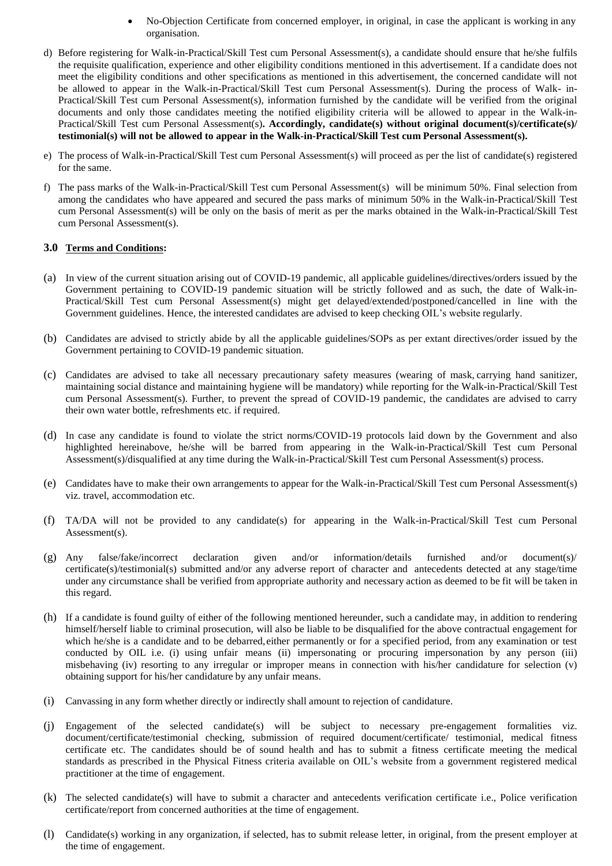- No-Objection Certificate from concerned employer, in original, in case the applicant is working in any organisation.
- d) Before registering for Walk-in-Practical/Skill Test cum Personal Assessment(s), a candidate should ensure that he/she fulfils the requisite qualification, experience and other eligibility conditions mentioned in this advertisement. If a candidate does not meet the eligibility conditions and other specifications as mentioned in this advertisement, the concerned candidate will not be allowed to appear in the Walk-in-Practical/Skill Test cum Personal Assessment(s). During the process of Walk- in-Practical/Skill Test cum Personal Assessment(s), information furnished by the candidate will be verified from the original documents and only those candidates meeting the notified eligibility criteria will be allowed to appear in the Walk-in-Practical/Skill Test cum Personal Assessment(s)**. Accordingly, candidate(s) without original document(s)/certificate(s)/ testimonial(s) will not be allowed to appear in the Walk-in-Practical/Skill Test cum Personal Assessment(s).**
- e) The process of Walk-in-Practical/Skill Test cum Personal Assessment(s) will proceed as per the list of candidate(s) registered for the same.
- f) The pass marks of the Walk-in-Practical/Skill Test cum Personal Assessment(s) will be minimum 50%. Final selection from among the candidates who have appeared and secured the pass marks of minimum 50% in the Walk-in-Practical/Skill Test cum Personal Assessment(s) will be only on the basis of merit as per the marks obtained in the Walk-in-Practical/Skill Test cum Personal Assessment(s).

#### **3.0 Terms and Conditions:**

- (a) In view of the current situation arising out of COVID-19 pandemic, all applicable guidelines/directives/orders issued by the Government pertaining to COVID-19 pandemic situation will be strictly followed and as such, the date of Walk-in-Practical/Skill Test cum Personal Assessment(s) might get delayed/extended/postponed/cancelled in line with the Government guidelines. Hence, the interested candidates are advised to keep checking OIL's website regularly.
- (b) Candidates are advised to strictly abide by all the applicable guidelines/SOPs as per extant directives/order issued by the Government pertaining to COVID-19 pandemic situation.
- (c) Candidates are advised to take all necessary precautionary safety measures (wearing of mask, carrying hand sanitizer, maintaining social distance and maintaining hygiene will be mandatory) while reporting for the Walk-in-Practical/Skill Test cum Personal Assessment(s). Further, to prevent the spread of COVID-19 pandemic, the candidates are advised to carry their own water bottle, refreshments etc. if required.
- (d) In case any candidate is found to violate the strict norms/COVID-19 protocols laid down by the Government and also highlighted hereinabove, he/she will be barred from appearing in the Walk-in-Practical/Skill Test cum Personal Assessment(s)/disqualified at any time during the Walk-in-Practical/Skill Test cum Personal Assessment(s) process.
- (e) Candidates have to make their own arrangements to appear for the Walk-in-Practical/Skill Test cum Personal Assessment(s) viz. travel, accommodation etc.
- (f) TA/DA will not be provided to any candidate(s) for appearing in the Walk-in-Practical/Skill Test cum Personal Assessment(s).
- (g) Any false/fake/incorrect declaration given and/or information/details furnished and/or document(s)/ certificate(s)/testimonial(s) submitted and/or any adverse report of character and antecedents detected at any stage/time under any circumstance shall be verified from appropriate authority and necessary action as deemed to be fit will be taken in this regard.
- (h) If a candidate is found guilty of either of the following mentioned hereunder, such a candidate may, in addition to rendering himself/herself liable to criminal prosecution, will also be liable to be disqualified for the above contractual engagement for which he/she is a candidate and to be debarred, either permanently or for a specified period, from any examination or test conducted by OIL i.e. (i) using unfair means (ii) impersonating or procuring impersonation by any person (iii) misbehaving (iv) resorting to any irregular or improper means in connection with his/her candidature for selection (v) obtaining support for his/her candidature by any unfair means.
- (i) Canvassing in any form whether directly or indirectly shall amount to rejection of candidature.
- (j) Engagement of the selected candidate(s) will be subject to necessary pre-engagement formalities viz. document/certificate/testimonial checking, submission of required document/certificate/ testimonial, medical fitness certificate etc. The candidates should be of sound health and has to submit a fitness certificate meeting the medical standards as prescribed in the Physical Fitness criteria available on OIL's website from a government registered medical practitioner at the time of engagement.
- (k) The selected candidate(s) will have to submit a character and antecedents verification certificate i.e., Police verification certificate/report from concerned authorities at the time of engagement.
- (l) Candidate(s) working in any organization, if selected, has to submit release letter, in original, from the present employer at the time of engagement.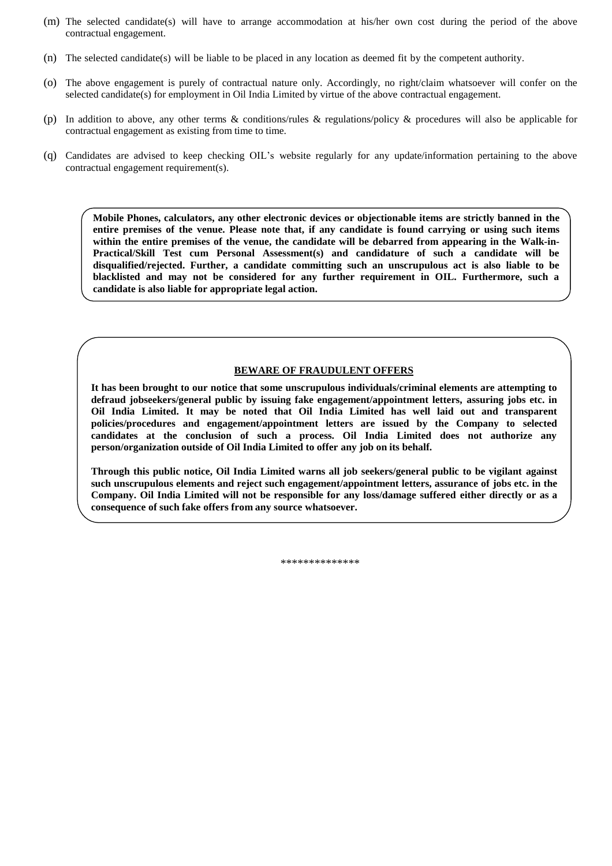- (m) The selected candidate(s) will have to arrange accommodation at his/her own cost during the period of the above contractual engagement.
- (n) The selected candidate(s) will be liable to be placed in any location as deemed fit by the competent authority.
- (o) The above engagement is purely of contractual nature only. Accordingly, no right/claim whatsoever will confer on the selected candidate(s) for employment in Oil India Limited by virtue of the above contractual engagement.
- (p) In addition to above, any other terms & conditions/rules & regulations/policy & procedures will also be applicable for contractual engagement as existing from time to time.
- (q) Candidates are advised to keep checking OIL's website regularly for any update/information pertaining to the above contractual engagement requirement(s).

**Mobile Phones, calculators, any other electronic devices or objectionable items are strictly banned in the entire premises of the venue. Please note that, if any candidate is found carrying or using such items within the entire premises of the venue, the candidate will be debarred from appearing in the Walk-in-Practical/Skill Test cum Personal Assessment(s) and candidature of such a candidate will be disqualified/rejected. Further, a candidate committing such an unscrupulous act is also liable to be blacklisted and may not be considered for any further requirement in OIL. Furthermore, such a candidate is also liable for appropriate legal action.**

### **BEWARE OF FRAUDULENT OFFERS**

**It has been brought to our notice that some unscrupulous individuals/criminal elements are attempting to defraud jobseekers/general public by issuing fake engagement/appointment letters, assuring jobs etc. in Oil India Limited. It may be noted that Oil India Limited has well laid out and transparent policies/procedures and engagement/appointment letters are issued by the Company to selected candidates at the conclusion of such a process. Oil India Limited does not authorize any person/organization outside of Oil India Limited to offer any job on its behalf.**

**Through this public notice, Oil India Limited warns all job seekers/general public to be vigilant against such unscrupulous elements and reject such engagement/appointment letters, assurance of jobs etc. in the Company. Oil India Limited will not be responsible for any loss/damage suffered either directly or as a consequence of such fake offers from any source whatsoever.**

\*\*\*\*\*\*\*\*\*\*\*\*\*\*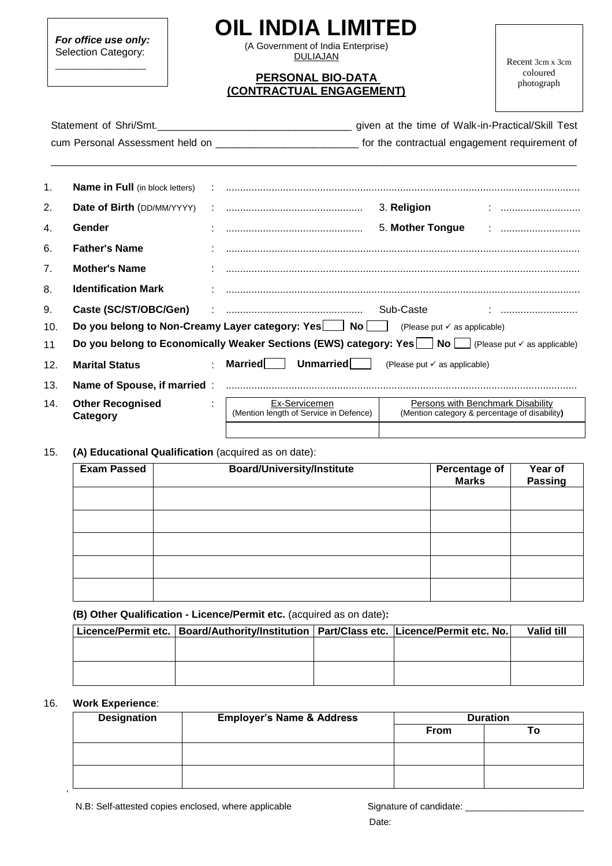*For office use only:* Selection Category:

 $\overline{\phantom{a}}$  , where  $\overline{\phantom{a}}$ 

# **OIL INDIA LIMITED**

(A Government of India Enterprise) DULIAJAN

# **PERSONAL BIO-DATA (CONTRACTUAL ENGAGEMENT)**

Recent 3cm x 3cm coloured photograph

|     |                                     |                                                                                                     | cum Personal Assessment held on ________________________________ for the contractual engagement requirement of             |  |  |
|-----|-------------------------------------|-----------------------------------------------------------------------------------------------------|----------------------------------------------------------------------------------------------------------------------------|--|--|
| 1.  |                                     |                                                                                                     |                                                                                                                            |  |  |
| 2.  | <b>Date of Birth (DD/MM/YYYY)</b>   |                                                                                                     |                                                                                                                            |  |  |
| 4.  | Gender                              |                                                                                                     |                                                                                                                            |  |  |
| 6.  | <b>Father's Name</b>                |                                                                                                     |                                                                                                                            |  |  |
| 7.  | <b>Mother's Name</b>                |                                                                                                     |                                                                                                                            |  |  |
| 8.  | <b>Identification Mark</b>          |                                                                                                     |                                                                                                                            |  |  |
| 9.  |                                     |                                                                                                     |                                                                                                                            |  |  |
| 10. |                                     | Do you belong to Non-Creamy Layer category: $Yes$ No $\Box$ (Please put $\checkmark$ as applicable) |                                                                                                                            |  |  |
| 11  |                                     |                                                                                                     | Do you belong to Economically Weaker Sections (EWS) category: Yes $\Box$ No $\Box$ (Please put $\checkmark$ as applicable) |  |  |
| 12. | <b>Marital Status</b>               | : <b>Married Unmarried</b> $\Box$ (Please put $\checkmark$ as applicable)                           |                                                                                                                            |  |  |
| 13. |                                     |                                                                                                     |                                                                                                                            |  |  |
| 14. | <b>Other Recognised</b><br>Category | Ex-Servicemen<br>(Mention length of Service in Defence)                                             | Persons with Benchmark Disability<br>(Mention category & percentage of disability)                                         |  |  |
|     |                                     |                                                                                                     |                                                                                                                            |  |  |

# 15. **(A) Educational Qualification** (acquired as on date):

| <b>Exam Passed</b> | <b>Board/University/Institute</b> | Percentage of<br><b>Marks</b> | Year of<br><b>Passing</b> |
|--------------------|-----------------------------------|-------------------------------|---------------------------|
|                    |                                   |                               |                           |
|                    |                                   |                               |                           |
|                    |                                   |                               |                           |
|                    |                                   |                               |                           |
|                    |                                   |                               |                           |

**(B) Other Qualification - Licence/Permit etc.** (acquired as on date)**:**

| Licence/Permit etc.   Board/Authority/Institution   Part/Class etc.   Licence/Permit etc. No. |  | Valid till |
|-----------------------------------------------------------------------------------------------|--|------------|
|                                                                                               |  |            |
|                                                                                               |  |            |
|                                                                                               |  |            |
|                                                                                               |  |            |

# 16. **Work Experience**:

\*

| <b>Designation</b> | <b>Employer's Name &amp; Address</b> | <b>Duration</b> |    |
|--------------------|--------------------------------------|-----------------|----|
|                    |                                      | <b>From</b>     | Гο |
|                    |                                      |                 |    |
|                    |                                      |                 |    |
|                    |                                      |                 |    |
|                    |                                      |                 |    |

discussion of the contract of the contract of the contract of the Date: